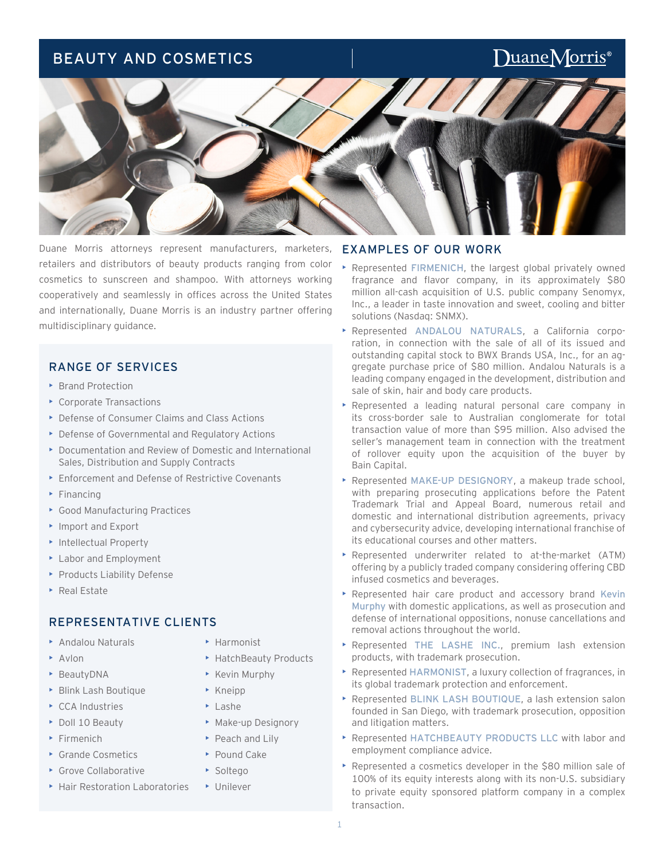## BEAUTY AND COSMETICS

# DuaneMorris<sup>®</sup>



Duane Morris attorneys represent manufacturers, marketers, retailers and distributors of beauty products ranging from color cosmetics to sunscreen and shampoo. With attorneys working cooperatively and seamlessly in offices across the United States and internationally, Duane Morris is an industry partner offering multidisciplinary guidance.

## RANGE OF SERVICES

- Brand Protection
- Corporate Transactions
- Defense of Consumer Claims and Class Actions
- Defense of Governmental and Regulatory Actions
- Documentation and Review of Domestic and International Sales, Distribution and Supply Contracts
- Enforcement and Defense of Restrictive Covenants
- Financing
- Good Manufacturing Practices
- Import and Export
- Intellectual Property
- Labor and Employment
- Products Liability Defense
- Real Estate

## REPRESENTATIVE CLIENTS

- Andalou Naturals
- Avlon
- BeautyDNA
- Blink Lash Boutique
- ▶ CCA Industries
- Doll 10 Beauty
- Firmenich
- Grande Cosmetics
- Grove Collaborative
- Hair Restoration Laboratories
- Harmonist
- HatchBeauty Products
- Kevin Murphy
- Kneipp
- Lashe
- Make-up Designory
- ▶ Peach and Lily
- ▶ Pound Cake
- Soltego
- Unilever

## EXAMPLES OF OUR WORK

- Represented FIRMENICH, the largest global privately owned fragrance and flavor company, in its approximately \$80 million all-cash acquisition of U.S. public company Senomyx, Inc., a leader in taste innovation and sweet, cooling and bitter solutions (Nasdaq: SNMX).
- Represented ANDALOU NATURALS, a California corporation, in connection with the sale of all of its issued and outstanding capital stock to BWX Brands USA, Inc., for an aggregate purchase price of \$80 million. Andalou Naturals is a leading company engaged in the development, distribution and sale of skin, hair and body care products.
- Represented a leading natural personal care company in its cross-border sale to Australian conglomerate for total transaction value of more than \$95 million. Also advised the seller's management team in connection with the treatment of rollover equity upon the acquisition of the buyer by Bain Capital.
- Represented MAKE-UP DESIGNORY, a makeup trade school, with preparing prosecuting applications before the Patent Trademark Trial and Appeal Board, numerous retail and domestic and international distribution agreements, privacy and cybersecurity advice, developing international franchise of its educational courses and other matters.
- Represented underwriter related to at-the-market (ATM) offering by a publicly traded company considering offering CBD infused cosmetics and beverages.
- Represented hair care product and accessory brand Kevin Murphy with domestic applications, as well as prosecution and defense of international oppositions, nonuse cancellations and removal actions throughout the world.
- Represented THE LASHE INC., premium lash extension products, with trademark prosecution.
- Represented HARMONIST, a luxury collection of fragrances, in its global trademark protection and enforcement.
- Represented BLINK LASH BOUTIQUE, a lash extension salon founded in San Diego, with trademark prosecution, opposition and litigation matters.
- Represented HATCHBEAUTY PRODUCTS LLC with labor and employment compliance advice.
- Represented a cosmetics developer in the \$80 million sale of 100% of its equity interests along with its non-U.S. subsidiary to private equity sponsored platform company in a complex transaction.